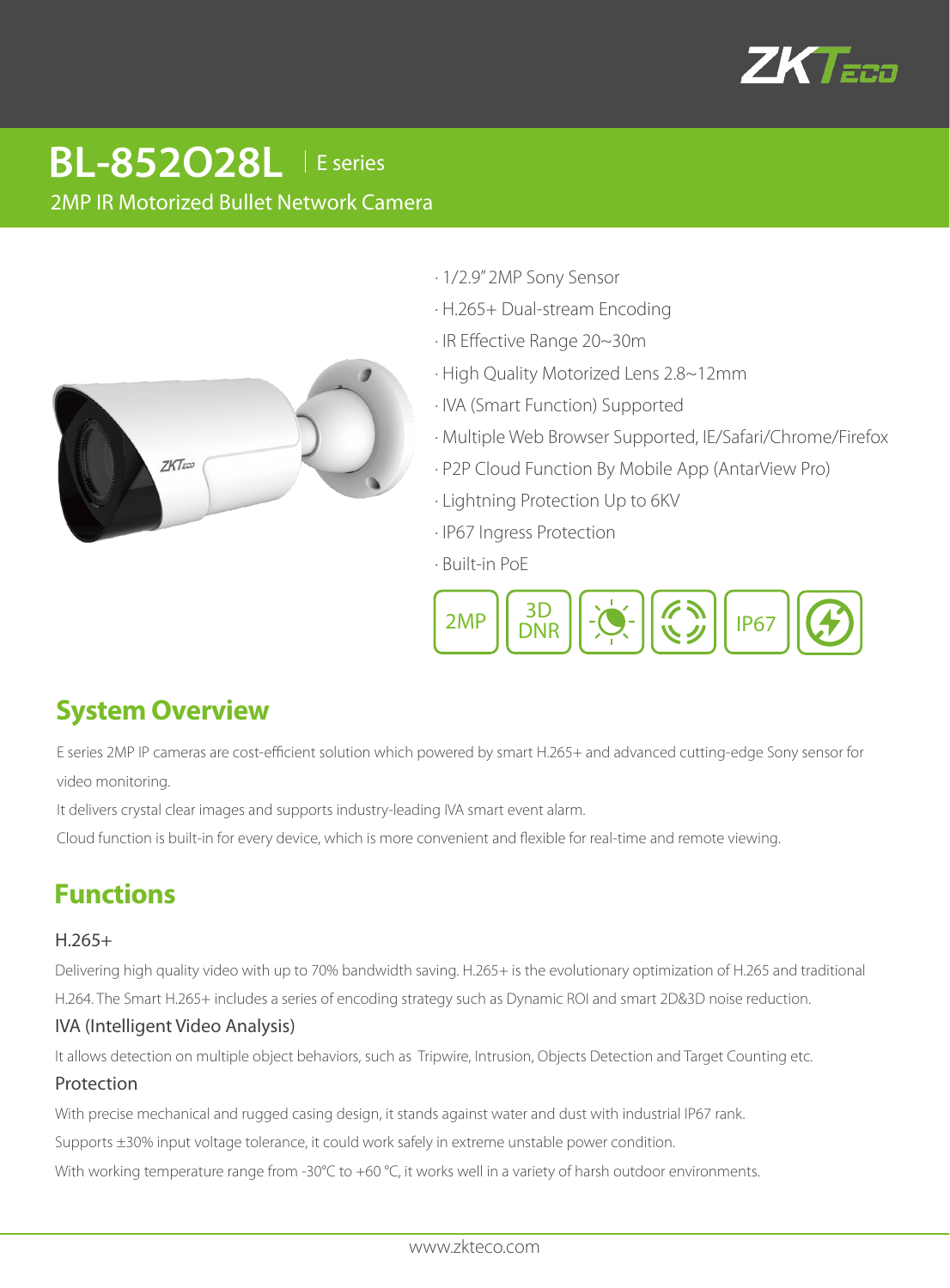

# 2MP IR Motorized Bullet Network Camera **BL-852O28L** | E series



- · 1/2.9" 2MP Sony Sensor
- · H.265+ Dual-stream Encoding
- · IR Effective Range 20~30m
- · High Quality Motorized Lens 2.8~12mm
- · IVA (Smart Function) Supported
- · Multiple Web Browser Supported, IE/Safari/Chrome/Firefox
- · P2P Cloud Function By Mobile App (AntarView Pro)
- · Lightning Protection Up to 6KV
- · IP67 Ingress Protection
- · Built-in PoE



## **System Overview**

E series 2MP IP cameras are cost-efficient solution which powered by smart H.265+ and advanced cutting-edge Sony sensor for video monitoring.

It delivers crystal clear images and supports industry-leading IVA smart event alarm.

Cloud function is built-in for every device, which is more convenient and flexible for real-time and remote viewing.

## **Functions**

#### H.265+

Delivering high quality video with up to 70% bandwidth saving. H.265+ is the evolutionary optimization of H.265 and traditional H.264. The Smart H.265+ includes a series of encoding strategy such as Dynamic ROI and smart 2D&3D noise reduction.

### IVA (Intelligent Video Analysis)

It allows detection on multiple object behaviors, such as Tripwire, Intrusion, Objects Detection and Target Counting etc.

#### Protection

With precise mechanical and rugged casing design, it stands against water and dust with industrial IP67 rank.

Supports ±30% input voltage tolerance, it could work safely in extreme unstable power condition.

With working temperature range from -30°C to +60 °C, it works well in a variety of harsh outdoor environments.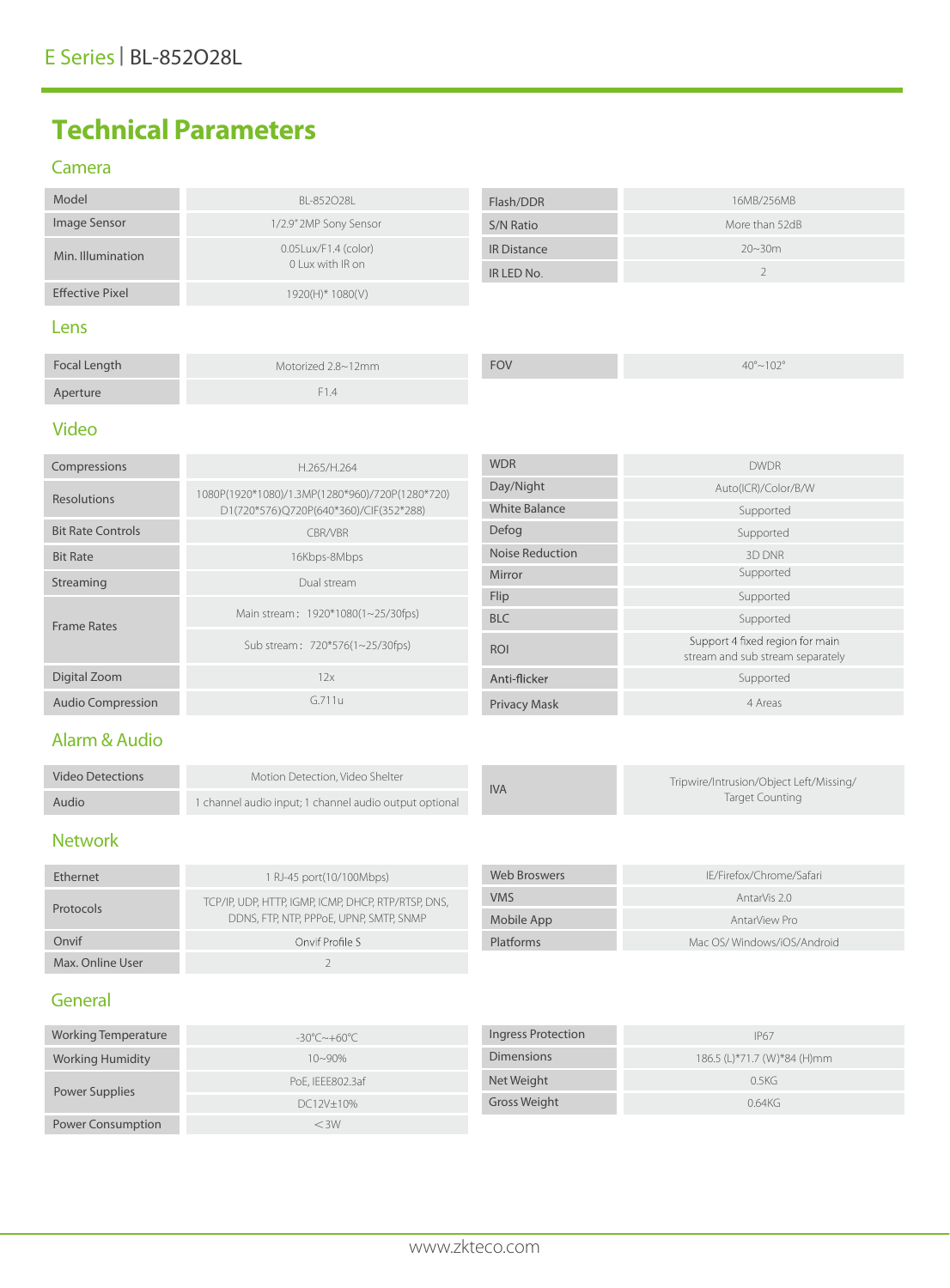# **Technical Parameters**

#### Camera

| Model                  | BL-852028L                                  | Flash/DDR          | 16MB/256MB     |
|------------------------|---------------------------------------------|--------------------|----------------|
| Image Sensor           | 1/2.9" 2MP Sony Sensor                      | S/N Ratio          | More than 52dB |
| Min. Illumination      | $0.05$ Lux/F1.4 (color)<br>0 Lux with IR on | <b>IR Distance</b> | $20 - 30m$     |
|                        |                                             | IR LED No.         |                |
| <b>Effective Pixel</b> | 1920(H)* 1080(V)                            |                    |                |
|                        |                                             |                    |                |

#### Lens

| Focal Length | Motorized 2.8~12mm | <b>FOV</b> | $40^{\circ}$ ~102° |
|--------------|--------------------|------------|--------------------|
| Aperture     | $-E14$             |            |                    |

## Video

| Compressions             | H.265/H.264                                                                               | <b>WDR</b>             | <b>DWDR</b>                                                         |
|--------------------------|-------------------------------------------------------------------------------------------|------------------------|---------------------------------------------------------------------|
| <b>Resolutions</b>       | 1080P(1920*1080)/1.3MP(1280*960)/720P(1280*720)<br>D1(720*576)Q720P(640*360)/CIF(352*288) | Day/Night              | Auto(ICR)/Color/B/W                                                 |
|                          |                                                                                           | <b>White Balance</b>   | Supported                                                           |
| <b>Bit Rate Controls</b> | CBR/VBR                                                                                   | Defog                  | Supported                                                           |
| <b>Bit Rate</b>          | 16Kbps-8Mbps                                                                              | <b>Noise Reduction</b> | 3D DNR                                                              |
| Streaming                | Dual stream                                                                               | Mirror                 | Supported                                                           |
| <b>Frame Rates</b>       | Flip<br>Main stream: 1920*1080(1~25/30fps)<br><b>BLC</b>                                  |                        | Supported                                                           |
|                          |                                                                                           |                        | Supported                                                           |
|                          | Sub stream: 720*576(1~25/30fps)                                                           | <b>ROI</b>             | Support 4 fixed region for main<br>stream and sub stream separately |
| Digital Zoom             | 12x                                                                                       | Anti-flicker           | Supported                                                           |
| <b>Audio Compression</b> | G.711u                                                                                    | <b>Privacy Mask</b>    | 4 Areas                                                             |

### Alarm & Audio

| <b>Video Detections</b> | Motion Detection. Video Shelter                        |  | <b>IVA</b> | Tripwire/Intrusion/Object Left/Missing/ |
|-------------------------|--------------------------------------------------------|--|------------|-----------------------------------------|
| Audio                   | 1 channel audio input; 1 channel audio output optional |  |            | Target Counting                         |

## Network

| Ethernet         | 1 RJ-45 port(10/100Mbps)                                                                       |
|------------------|------------------------------------------------------------------------------------------------|
| Protocols        | TCP/IP, UDP, HTTP, IGMP, ICMP, DHCP, RTP/RTSP, DNS,<br>DDNS, FTP, NTP, PPPoE, UPNP, SMTP, SNMP |
| Onvif            | Onvif Profile S                                                                                |
| Max. Online User |                                                                                                |

| Web Broswers | IE/Firefox/Chrome/Safari   |
|--------------|----------------------------|
| VMS          | AntarVis 2.0               |
| Mobile App   | AntarView Pro              |
| Platforms    | Mac OS/Windows/iOS/Android |

## General

| Working Temperature      | $-30^{\circ}$ C $\sim$ +60°C | Ingress Protection  | <b>IP67</b>                 |
|--------------------------|------------------------------|---------------------|-----------------------------|
| <b>Working Humidity</b>  | $10 - 90\%$                  | <b>Dimensions</b>   | 186.5 (L)*71.7 (W)*84 (H)mm |
| Power Supplies           | PoE, IEEE802.3af             | Net Weight          | 0.5KG                       |
|                          | DC12V±10%                    | <b>Gross Weight</b> | 0.64KG                      |
| <b>Power Consumption</b> | $<$ 3W                       |                     |                             |